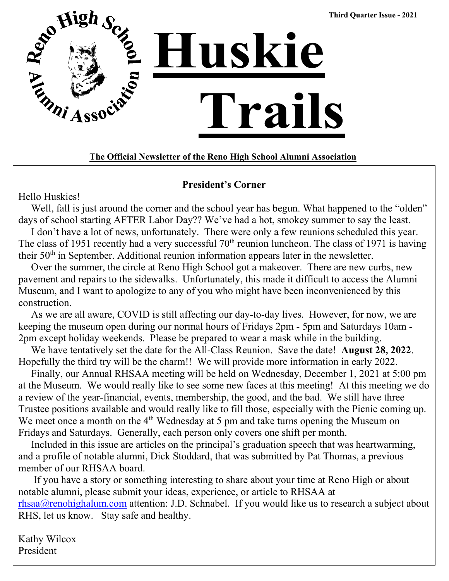

### **The Official Newsletter of the Reno High School Alumni Association**

### **President's Corner**

Hello Huskies!

Well, fall is just around the corner and the school year has begun. What happened to the "olden" days of school starting AFTER Labor Day?? We've had a hot, smokey summer to say the least.

 I don't have a lot of news, unfortunately. There were only a few reunions scheduled this year. The class of 1951 recently had a very successful  $70<sup>th</sup>$  reunion luncheon. The class of 1971 is having their 50<sup>th</sup> in September. Additional reunion information appears later in the newsletter.

 Over the summer, the circle at Reno High School got a makeover. There are new curbs, new pavement and repairs to the sidewalks. Unfortunately, this made it difficult to access the Alumni Museum, and I want to apologize to any of you who might have been inconvenienced by this construction.

 As we are all aware, COVID is still affecting our day-to-day lives. However, for now, we are keeping the museum open during our normal hours of Fridays 2pm - 5pm and Saturdays 10am - 2pm except holiday weekends. Please be prepared to wear a mask while in the building.

 We have tentatively set the date for the All-Class Reunion. Save the date! **August 28, 2022**. Hopefully the third try will be the charm!! We will provide more information in early 2022.

 Finally, our Annual RHSAA meeting will be held on Wednesday, December 1, 2021 at 5:00 pm at the Museum. We would really like to see some new faces at this meeting! At this meeting we do a review of the year-financial, events, membership, the good, and the bad. We still have three Trustee positions available and would really like to fill those, especially with the Picnic coming up. We meet once a month on the 4<sup>th</sup> Wednesday at 5 pm and take turns opening the Museum on Fridays and Saturdays. Generally, each person only covers one shift per month.

 Included in this issue are articles on the principal's graduation speech that was heartwarming, and a profile of notable alumni, Dick Stoddard, that was submitted by Pat Thomas, a previous member of our RHSAA board.

 If you have a story or something interesting to share about your time at Reno High or about notable alumni, please submit your ideas, experience, or article to RHSAA at  $rhsaa@renohighalum.com$  attention: J.D. Schnabel. If you would like us to research a subject about RHS, let us know. Stay safe and healthy.

Kathy Wilcox President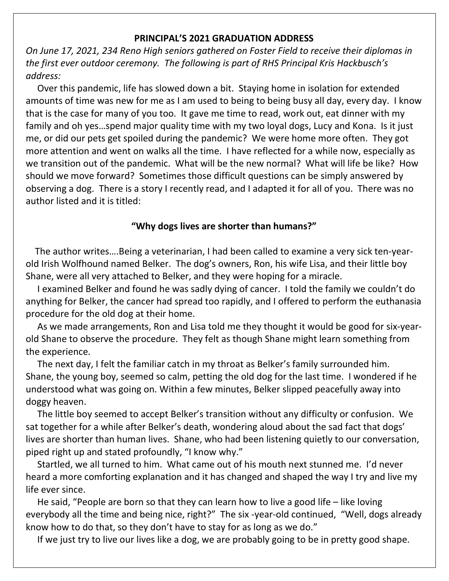#### **PRINCIPAL'S 2021 GRADUATION ADDRESS**

*On June 17, 2021, 234 Reno High seniors gathered on Foster Field to receive their diplomas in the first ever outdoor ceremony. The following is part of RHS Principal Kris Hackbusch's address:*

 Over this pandemic, life has slowed down a bit. Staying home in isolation for extended amounts of time was new for me as I am used to being to being busy all day, every day. I know that is the case for many of you too. It gave me time to read, work out, eat dinner with my family and oh yes…spend major quality time with my two loyal dogs, Lucy and Kona. Is it just me, or did our pets get spoiled during the pandemic? We were home more often. They got more attention and went on walks all the time. I have reflected for a while now, especially as we transition out of the pandemic. What will be the new normal? What will life be like? How should we move forward? Sometimes those difficult questions can be simply answered by observing a dog. There is a story I recently read, and I adapted it for all of you. There was no author listed and it is titled:

### **"Why dogs lives are shorter than humans?"**

 The author writes….Being a veterinarian, I had been called to examine a very sick ten-yearold Irish Wolfhound named Belker. The dog's owners, Ron, his wife Lisa, and their little boy Shane, were all very attached to Belker, and they were hoping for a miracle.

 I examined Belker and found he was sadly dying of cancer. I told the family we couldn't do anything for Belker, the cancer had spread too rapidly, and I offered to perform the euthanasia procedure for the old dog at their home.

 As we made arrangements, Ron and Lisa told me they thought it would be good for six-yearold Shane to observe the procedure. They felt as though Shane might learn something from the experience.

 The next day, I felt the familiar catch in my throat as Belker's family surrounded him. Shane, the young boy, seemed so calm, petting the old dog for the last time. I wondered if he understood what was going on. Within a few minutes, Belker slipped peacefully away into doggy heaven.

 The little boy seemed to accept Belker's transition without any difficulty or confusion. We sat together for a while after Belker's death, wondering aloud about the sad fact that dogs' lives are shorter than human lives. Shane, who had been listening quietly to our conversation, piped right up and stated profoundly, "I know why."

 Startled, we all turned to him. What came out of his mouth next stunned me. I'd never heard a more comforting explanation and it has changed and shaped the way I try and live my life ever since.

 He said, "People are born so that they can learn how to live a good life – like loving everybody all the time and being nice, right?" The six -year-old continued, "Well, dogs already know how to do that, so they don't have to stay for as long as we do."

If we just try to live our lives like a dog, we are probably going to be in pretty good shape.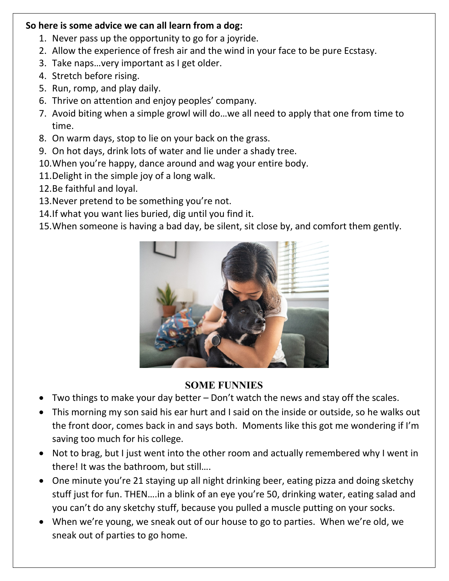## **So here is some advice we can all learn from a dog:**

- 1. Never pass up the opportunity to go for a joyride.
- 2. Allow the experience of fresh air and the wind in your face to be pure Ecstasy.
- 3. Take naps…very important as I get older.
- 4. Stretch before rising.
- 5. Run, romp, and play daily.
- 6. Thrive on attention and enjoy peoples' company.
- 7. Avoid biting when a simple growl will do…we all need to apply that one from time to time.
- 8. On warm days, stop to lie on your back on the grass.
- 9. On hot days, drink lots of water and lie under a shady tree.
- 10.When you're happy, dance around and wag your entire body.
- 11.Delight in the simple joy of a long walk.
- 12.Be faithful and loyal.
- 13.Never pretend to be something you're not.
- 14.If what you want lies buried, dig until you find it.
- 15.When someone is having a bad day, be silent, sit close by, and comfort them gently.



## **SOME FUNNIES**

- Two things to make your day better Don't watch the news and stay off the scales.
- This morning my son said his ear hurt and I said on the inside or outside, so he walks out the front door, comes back in and says both. Moments like this got me wondering if I'm saving too much for his college.
- Not to brag, but I just went into the other room and actually remembered why I went in there! It was the bathroom, but still….
- One minute you're 21 staying up all night drinking beer, eating pizza and doing sketchy stuff just for fun. THEN….in a blink of an eye you're 50, drinking water, eating salad and you can't do any sketchy stuff, because you pulled a muscle putting on your socks.
- When we're young, we sneak out of our house to go to parties. When we're old, we sneak out of parties to go home.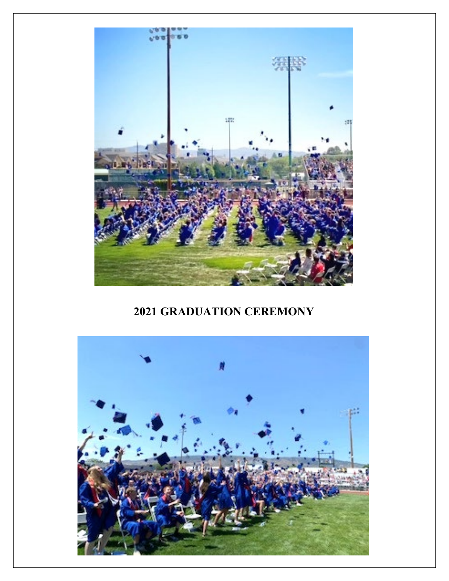

# **2021 GRADUATION CEREMONY**

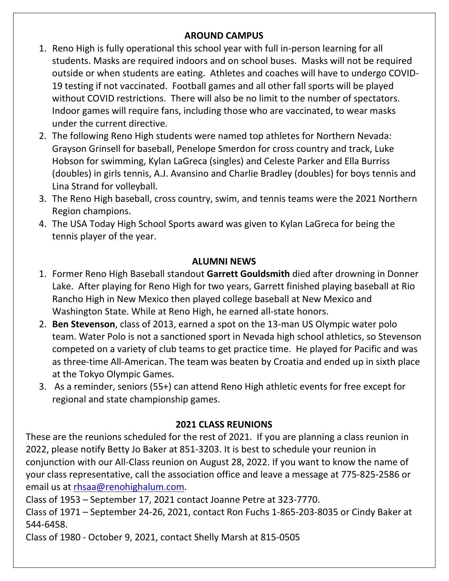## **AROUND CAMPUS**

- 1. Reno High is fully operational this school year with full in-person learning for all students. Masks are required indoors and on school buses. Masks will not be required outside or when students are eating. Athletes and coaches will have to undergo COVID-19 testing if not vaccinated. Football games and all other fall sports will be played without COVID restrictions. There will also be no limit to the number of spectators. Indoor games will require fans, including those who are vaccinated, to wear masks under the current directive.
- 2. The following Reno High students were named top athletes for Northern Nevada: Grayson Grinsell for baseball, Penelope Smerdon for cross country and track, Luke Hobson for swimming, Kylan LaGreca (singles) and Celeste Parker and Ella Burriss (doubles) in girls tennis, A.J. Avansino and Charlie Bradley (doubles) for boys tennis and Lina Strand for volleyball.
- 3. The Reno High baseball, cross country, swim, and tennis teams were the 2021 Northern Region champions.
- 4. The USA Today High School Sports award was given to Kylan LaGreca for being the tennis player of the year.

### **ALUMNI NEWS**

- 1. Former Reno High Baseball standout **Garrett Gouldsmith** died after drowning in Donner Lake. After playing for Reno High for two years, Garrett finished playing baseball at Rio Rancho High in New Mexico then played college baseball at New Mexico and Washington State. While at Reno High, he earned all-state honors.
- 2. **Ben Stevenson**, class of 2013, earned a spot on the 13-man US Olympic water polo team. Water Polo is not a sanctioned sport in Nevada high school athletics, so Stevenson competed on a variety of club teams to get practice time. He played for Pacific and was as three-time All-American. The team was beaten by Croatia and ended up in sixth place at the Tokyo Olympic Games.
- 3. As a reminder, seniors (55+) can attend Reno High athletic events for free except for regional and state championship games.

## **2021 CLASS REUNIONS**

These are the reunions scheduled for the rest of 2021. If you are planning a class reunion in 2022, please notify Betty Jo Baker at 851-3203. It is best to schedule your reunion in conjunction with our All-Class reunion on August 28, 2022. If you want to know the name of your class representative, call the association office and leave a message at 775-825-2586 or email us at [rhsaa@renohighalum.com.](mailto:rhsaa@renohighalum.com)

Class of 1953 – September 17, 2021 contact Joanne Petre at 323-7770.

Class of 1971 – September 24-26, 2021, contact Ron Fuchs 1-865-203-8035 or Cindy Baker at 544-6458.

Class of 1980 - October 9, 2021, contact Shelly Marsh at 815-0505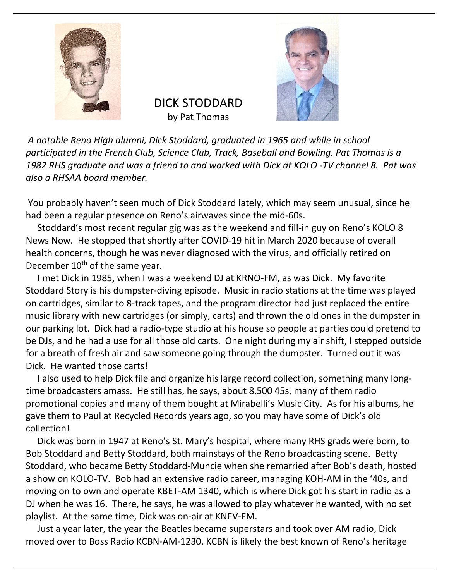



DICK STODDARD by Pat Thomas

*A notable Reno High alumni, Dick Stoddard, graduated in 1965 and while in school participated in the French Club, Science Club, Track, Baseball and Bowling. Pat Thomas is a 1982 RHS graduate and was a friend to and worked with Dick at KOLO -TV channel 8. Pat was also a RHSAA board member.*

You probably haven't seen much of Dick Stoddard lately, which may seem unusual, since he had been a regular presence on Reno's airwaves since the mid-60s.

 Stoddard's most recent regular gig was as the weekend and fill-in guy on Reno's KOLO 8 News Now. He stopped that shortly after COVID-19 hit in March 2020 because of overall health concerns, though he was never diagnosed with the virus, and officially retired on December 10<sup>th</sup> of the same year.

 I met Dick in 1985, when I was a weekend DJ at KRNO-FM, as was Dick. My favorite Stoddard Story is his dumpster-diving episode. Music in radio stations at the time was played on cartridges, similar to 8-track tapes, and the program director had just replaced the entire music library with new cartridges (or simply, carts) and thrown the old ones in the dumpster in our parking lot. Dick had a radio-type studio at his house so people at parties could pretend to be DJs, and he had a use for all those old carts. One night during my air shift, I stepped outside for a breath of fresh air and saw someone going through the dumpster. Turned out it was Dick. He wanted those carts!

 I also used to help Dick file and organize his large record collection, something many longtime broadcasters amass. He still has, he says, about 8,500 45s, many of them radio promotional copies and many of them bought at Mirabelli's Music City. As for his albums, he gave them to Paul at Recycled Records years ago, so you may have some of Dick's old collection!

 Dick was born in 1947 at Reno's St. Mary's hospital, where many RHS grads were born, to Bob Stoddard and Betty Stoddard, both mainstays of the Reno broadcasting scene. Betty Stoddard, who became Betty Stoddard-Muncie when she remarried after Bob's death, hosted a show on KOLO-TV. Bob had an extensive radio career, managing KOH-AM in the '40s, and moving on to own and operate KBET-AM 1340, which is where Dick got his start in radio as a DJ when he was 16. There, he says, he was allowed to play whatever he wanted, with no set playlist. At the same time, Dick was on-air at KNEV-FM.

 Just a year later, the year the Beatles became superstars and took over AM radio, Dick moved over to Boss Radio KCBN-AM-1230. KCBN is likely the best known of Reno's heritage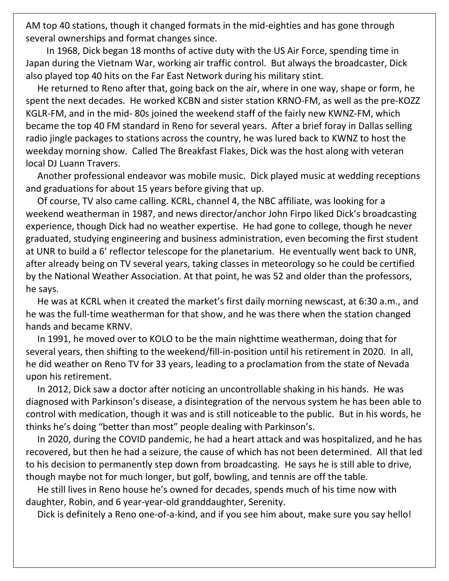AM top 40 stations, though it changed formats in the mid-eighties and has gone through several ownerships and format changes since.

 In 1968, Dick began 18 months of active duty with the US Air Force, spending time in Japan during the Vietnam War, working air traffic control. But always the broadcaster, Dick also played top 40 hits on the Far East Network during his military stint.

 He returned to Reno after that, going back on the air, where in one way, shape or form, he spent the next decades. He worked KCBN and sister station KRNO-FM, as well as the pre-KOZZ KGLR-FM, and in the mid- 80s joined the weekend staff of the fairly new KWNZ-FM, which became the top 40 FM standard in Reno for several years. After a brief foray in Dallas selling radio jingle packages to stations across the country, he was lured back to KWNZ to host the weekday morning show. Called The Breakfast Flakes, Dick was the host along with veteran local DJ Luann Travers.

 Another professional endeavor was mobile music. Dick played music at wedding receptions and graduations for about 15 years before giving that up.

 Of course, TV also came calling. KCRL, channel 4, the NBC affiliate, was looking for a weekend weatherman in 1987, and news director/anchor John Firpo liked Dick's broadcasting experience, though Dick had no weather expertise. He had gone to college, though he never graduated, studying engineering and business administration, even becoming the first student at UNR to build a 6' reflector telescope for the planetarium. He eventually went back to UNR, after already being on TV several years, taking classes in meteorology so he could be certified by the National Weather Association. At that point, he was 52 and older than the professors, he says.

 He was at KCRL when it created the market's first daily morning newscast, at 6:30 a.m., and he was the full-time weatherman for that show, and he was there when the station changed hands and became KRNV.

 In 1991, he moved over to KOLO to be the main nighttime weatherman, doing that for several years, then shifting to the weekend/fill-in-position until his retirement in 2020. In all, he did weather on Reno TV for 33 years, leading to a proclamation from the state of Nevada upon his retirement.

 In 2012, Dick saw a doctor after noticing an uncontrollable shaking in his hands. He was diagnosed with Parkinson's disease, a disintegration of the nervous system he has been able to control with medication, though it was and is still noticeable to the public. But in his words, he thinks he's doing "better than most" people dealing with Parkinson's.

 In 2020, during the COVID pandemic, he had a heart attack and was hospitalized, and he has recovered, but then he had a seizure, the cause of which has not been determined. All that led to his decision to permanently step down from broadcasting. He says he is still able to drive, though maybe not for much longer, but golf, bowling, and tennis are off the table.

 He still lives in Reno house he's owned for decades, spends much of his time now with daughter, Robin, and 6 year-year-old granddaughter, Serenity.

Dick is definitely a Reno one-of-a-kind, and if you see him about, make sure you say hello!